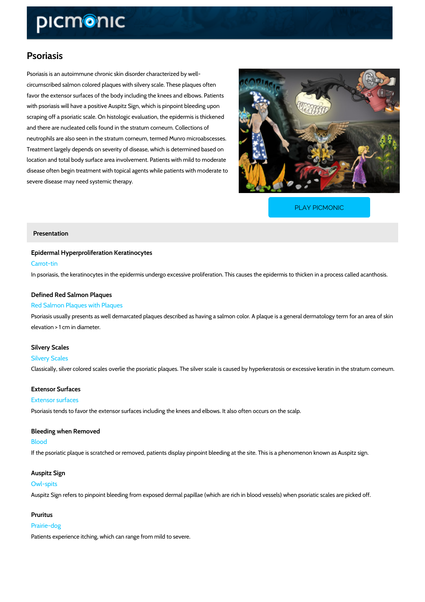# Psoriasis

Psoriasis is an autoimmune chronic skin disorder characterized by well circumscribed salmon colored plaques with silvery scale. These plaques often favor the extensor surfaces of the body including the knees and elbows. Patients with psoriasis will have a positive Auspitz Sign, which is pinpoint bleeding upon scraping off a psoriatic scale. On histologic evaluation, the epidermis is thickened and there are nucleated cells found in the stratum corneum. Collections of neutrophils are also seen in the stratum corneum, termed Munro microabscesses. Treatment largely depends on severity of disease, which is determined based on location and total body surface area involvement. Patients with mild to moderate disease often begin treatment with topical agents while patients with moderate to severe disease may need systemic therapy.

[PLAY PICMONIC](https://www.picmonic.com/learn/psoriasis_2513?utm_source=downloadable_content&utm_medium=distributedcontent&utm_campaign=pathways_pdf&utm_content=Psoriasis&utm_ad_group=leads&utm_market=all)

### Presentation

Epidermal Hyperproliferation Keratinocytes Carrot-tin In psoriasis, the keratinocytes in the epidermis undergo excessive proliferation. This causes

# Defined Red Salmon Plaques Red Salmon Plaques with Plaques

Psoriasis usually presents as well demarcated plaques described as having a salmon color. A elevation > 1 cm in diameter.

## Silvery Scales

Silvery Scales Classically, silver colored scales overlie the psoriatic plaques. The silver scale is caused by

Extensor Surfaces

# Extensor surfaces

Psoriasis tends to favor the extensor surfaces including the knees and elbows. It also often o

Bleeding when Removed Blood If the psoriatic plaque is scratched or removed, patients display pinpoint bleeding at the site.

Auspitz Sign Owl-spits

Auspitz Sign refers to pinpoint bleeding from exposed dermal papillae (which are rich in blood

Pruritus Prairie-dog Patients experience itching, which can range from mild to severe.